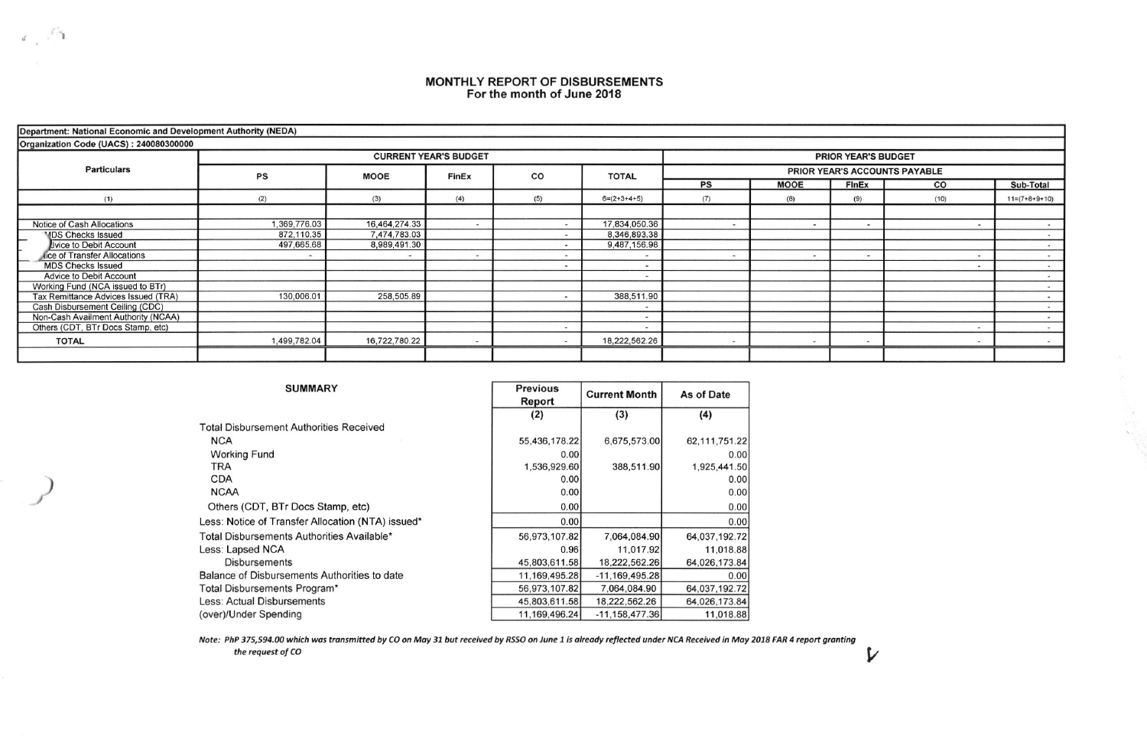## MONTHLY REPORT OF DISBURSEMENTS<br>For the month of June 2018

| Department: National Economic and Development Authority (NEDA) |              |               |                              |     |                            |                               |                |                          |    |                 |  |  |  |  |
|----------------------------------------------------------------|--------------|---------------|------------------------------|-----|----------------------------|-------------------------------|----------------|--------------------------|----|-----------------|--|--|--|--|
| Organization Code (UACS): 240080300000                         |              |               |                              |     |                            |                               |                |                          |    |                 |  |  |  |  |
| <b>Particulars</b>                                             |              |               | <b>CURRENT YEAR'S BUDGET</b> |     | <b>PRIOR YEAR'S BUDGET</b> |                               |                |                          |    |                 |  |  |  |  |
|                                                                | PS           | <b>MOOE</b>   | <b>FinEx</b>                 | CO  | <b>TOTAL</b>               | PRIOR YEAR'S ACCOUNTS PAYABLE |                |                          |    |                 |  |  |  |  |
|                                                                |              |               |                              |     |                            | <b>PS</b>                     | <b>MOOE</b>    | <b>FInEx</b>             | CO | Sub-Total       |  |  |  |  |
| (1)                                                            | (2)          | (3)           | (4)                          | (5) | $6=(2+3+4+5)$              | (7)                           | (8)            | (9)<br>(10)              |    | $11=(7+8+9+10)$ |  |  |  |  |
|                                                                |              |               |                              |     |                            |                               |                |                          |    |                 |  |  |  |  |
| Notice of Cash Allocations                                     | 1,369,776.03 | 16,464,274.33 |                              |     | 17,834,050.36              |                               |                | $\overline{\phantom{a}}$ |    |                 |  |  |  |  |
| <b>MDS Checks Issued</b>                                       | 872,110.35   | 7,474,783.03  |                              |     | 8,346,893.38               |                               |                |                          |    |                 |  |  |  |  |
| Livice to Debit Account                                        | 497,665,68   | 8,989,491.30  |                              |     | 9,487,156.98               |                               |                |                          |    |                 |  |  |  |  |
| lice of Transfer Allocations                                   |              | $\frac{1}{2}$ |                              |     |                            |                               | $\overline{a}$ | $\overline{\phantom{a}}$ |    |                 |  |  |  |  |
| <b>MDS Checks Issued</b>                                       |              |               |                              |     |                            |                               |                |                          |    |                 |  |  |  |  |
| Advice to Debit Account                                        |              |               |                              |     | $\blacksquare$             |                               |                |                          |    |                 |  |  |  |  |
| Working Fund (NCA issued to BTr)                               |              |               |                              |     |                            |                               |                |                          |    |                 |  |  |  |  |
| Tax Remittance Advices Issued (TRA)                            | 130,006.01   | 258,505.89    |                              |     | 388,511.90                 |                               |                |                          |    |                 |  |  |  |  |
| Cash Disbursement Ceiling (CDC)                                |              |               |                              |     |                            |                               |                |                          |    |                 |  |  |  |  |
| Non-Cash Availment Authority (NCAA)                            |              |               |                              |     |                            |                               |                |                          |    |                 |  |  |  |  |
| Others (CDT, BTr Docs Stamp, etc)                              |              |               |                              |     | $\overline{\phantom{a}}$   |                               |                |                          |    |                 |  |  |  |  |
| <b>TOTAL</b>                                                   | 1,499,782.04 | 16,722,780.22 |                              |     | 18,222,562.26              |                               |                |                          |    |                 |  |  |  |  |
|                                                                |              |               |                              |     |                            |                               |                |                          |    |                 |  |  |  |  |

 $\sim$ 

 $\mathcal{V}$ 

| <b>SUMMARY</b>                                    | <b>Previous</b><br>Report | <b>Current Month</b> | As of Date      |  |
|---------------------------------------------------|---------------------------|----------------------|-----------------|--|
|                                                   | (2)                       | (3)                  | (4)             |  |
| <b>Total Disbursement Authorities Received</b>    |                           |                      |                 |  |
| <b>NCA</b>                                        | 55,436,178.22             | 6,675,573.00         | 62, 111, 751.22 |  |
| <b>Working Fund</b>                               | 0.00                      |                      | 0.00            |  |
| TRA                                               | 1,536,929.60              | 388,511.90           | 1,925,441.50    |  |
| <b>CDA</b>                                        | 0.00                      |                      | 0.00            |  |
| <b>NCAA</b>                                       | 0.00                      |                      | 0.00            |  |
| Others (CDT, BTr Docs Stamp, etc)                 | 0.00                      |                      | 0.00            |  |
| Less: Notice of Transfer Allocation (NTA) issued* | 0.00                      |                      | 0.00            |  |
| Total Disbursements Authorities Available*        | 56,973,107.82             | 7,064,084.90         | 64,037,192.72   |  |
| Less: Lapsed NCA                                  | 0.96                      | 11,017.92            | 11,018.88       |  |
| <b>Disbursements</b>                              | 45,803,611.58             | 18,222,562.26        | 64,026,173.84   |  |
| Balance of Disbursements Authorities to date      | 11,169,495.28             | $-11,169,495.28$     | 0.00            |  |
| Total Disbursements Program*                      | 56,973,107.82             | 7,064,084.90         | 64,037,192.72   |  |
| Less: Actual Disbursements                        | 45,803,611.58             | 18,222,562.26        | 64,026,173.84   |  |
| (over)/Under Spending                             | 11,169,496.24             | $-11,158,477.36$     | 11,018.88       |  |

Note: PhP 375,594.00 which was transmitted by CO on May 31 but received by RSSO on June 1 is already reflected under NCA Received in May 2018 FAR 4 report granting the request of CO

 $\mathbb{Z} \rightarrow \mathbb{Z}$